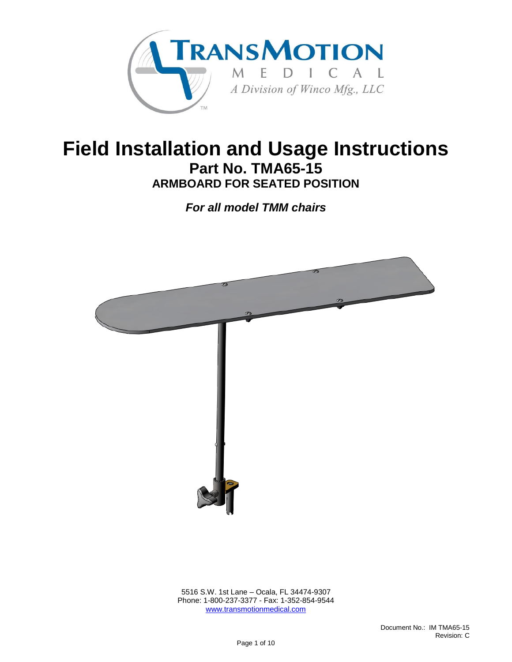

## **Field Installation and Usage Instructions Part No. TMA65-15 ARMBOARD FOR SEATED POSITION**

*For all model TMM chairs*



 5516 S.W. 1st Lane – Ocala, FL 34474-9307 Phone: 1-800-237-3377 - Fax: 1-352-854-9544 [www.transmotionmedical.com](http://www.transmotionmedical.com/)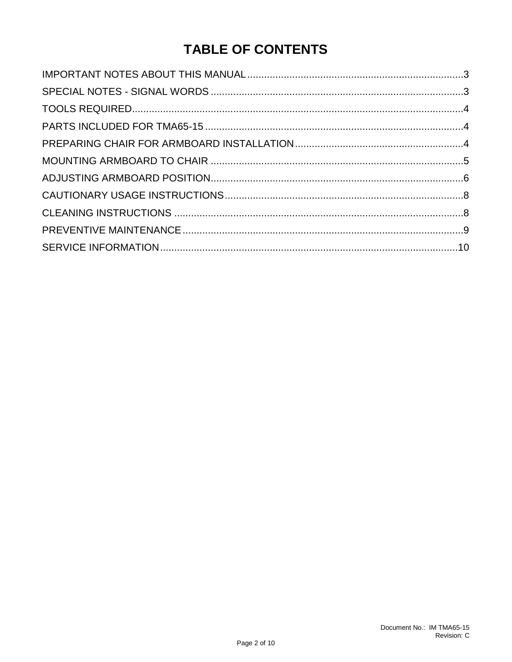## **TABLE OF CONTENTS**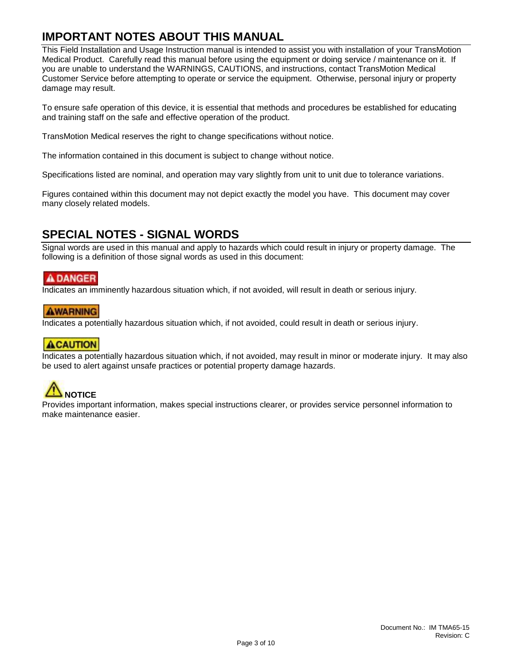### <span id="page-2-0"></span>**IMPORTANT NOTES ABOUT THIS MANUAL**

This Field Installation and Usage Instruction manual is intended to assist you with installation of your TransMotion Medical Product. Carefully read this manual before using the equipment or doing service / maintenance on it. If you are unable to understand the WARNINGS, CAUTIONS, and instructions, contact TransMotion Medical Customer Service before attempting to operate or service the equipment. Otherwise, personal injury or property damage may result.

To ensure safe operation of this device, it is essential that methods and procedures be established for educating and training staff on the safe and effective operation of the product.

TransMotion Medical reserves the right to change specifications without notice.

The information contained in this document is subject to change without notice.

Specifications listed are nominal, and operation may vary slightly from unit to unit due to tolerance variations.

Figures contained within this document may not depict exactly the model you have. This document may cover many closely related models.

### <span id="page-2-1"></span>**SPECIAL NOTES - SIGNAL WORDS**

Signal words are used in this manual and apply to hazards which could result in injury or property damage. The following is a definition of those signal words as used in this document:

#### **A DANGER**

Indicates an imminently hazardous situation which, if not avoided, will result in death or serious injury.

#### **AWARNING**

Indicates a potentially hazardous situation which, if not avoided, could result in death or serious injury.

#### **ACAUTION**

Indicates a potentially hazardous situation which, if not avoided, may result in minor or moderate injury. It may also be used to alert against unsafe practices or potential property damage hazards.

# **NOTICE**

Provides important information, makes special instructions clearer, or provides service personnel information to make maintenance easier.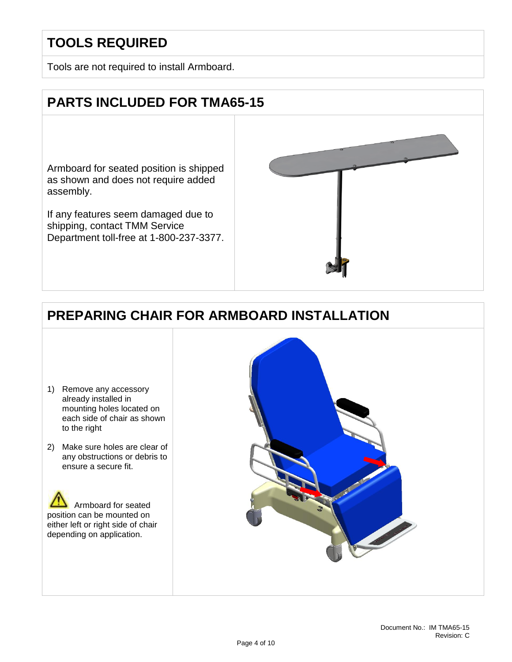## <span id="page-3-0"></span>**TOOLS REQUIRED**

Tools are not required to install Armboard.

## <span id="page-3-1"></span>**PARTS INCLUDED FOR TMA65-15**

Armboard for seated position is shipped as shown and does not require added assembly.

If any features seem damaged due to shipping, contact TMM Service Department toll-free at 1-800-237-3377.



## <span id="page-3-2"></span>**PREPARING CHAIR FOR ARMBOARD INSTALLATION**

- 1) Remove any accessory already installed in mounting holes located on each side of chair as shown to the right
- 2) Make sure holes are clear of any obstructions or debris to ensure a secure fit.



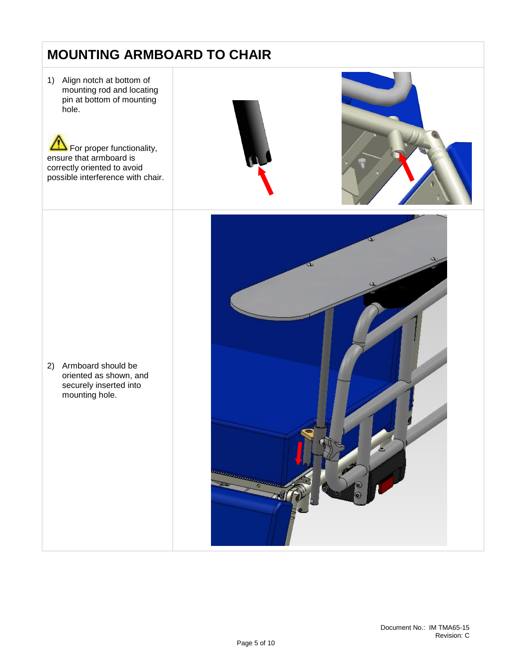## <span id="page-4-0"></span>**MOUNTING ARMBOARD TO CHAIR**

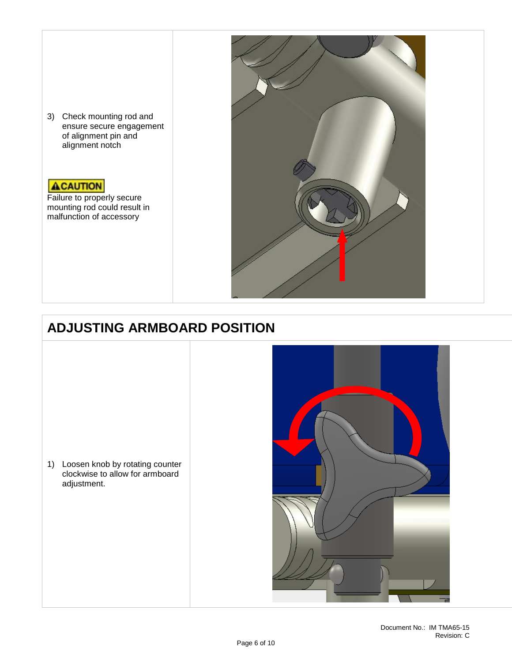3) Check mounting rod and ensure secure engagement of alignment pin and alignment notch

#### **ACAUTION**

Failure to properly secure mounting rod could result in malfunction of accessory



## <span id="page-5-0"></span>**ADJUSTING ARMBOARD POSITION**

1) Loosen knob by rotating counter clockwise to allow for armboard adjustment.

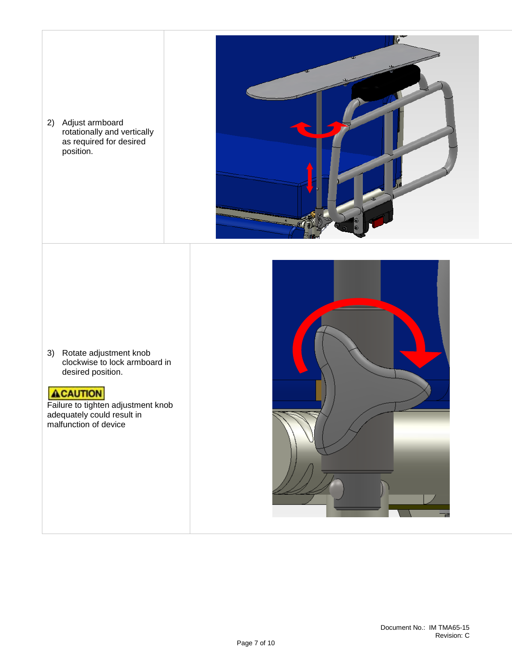2) Adjust armboard rotationally and vertically as required for desired position.



3) Rotate adjustment knob clockwise to lock armboard in desired position.

#### **ACAUTION**

Failure to tighten adjustment knob adequately could result in malfunction of device

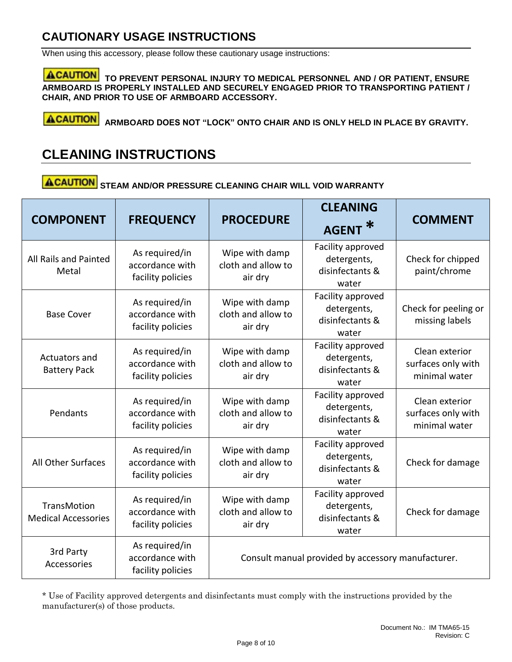### <span id="page-7-0"></span>**CAUTIONARY USAGE INSTRUCTIONS**

When using this accessory, please follow these cautionary usage instructions:

**ACAUTION** TO PREVENT PERSONAL INJURY TO MEDICAL PERSONNEL AND / OR PATIENT, ENSURE **ARMBOARD IS PROPERLY INSTALLED AND SECURELY ENGAGED PRIOR TO TRANSPORTING PATIENT / CHAIR, AND PRIOR TO USE OF ARMBOARD ACCESSORY.**

**ACAUTION ARMBOARD DOES NOT "LOCK" ONTO CHAIR AND IS ONLY HELD IN PLACE BY GRAVITY.**

### <span id="page-7-1"></span>**CLEANING INSTRUCTIONS**

**ACAUTION STEAM AND/OR PRESSURE CLEANING CHAIR WILL VOID WARRANTY**

| <b>COMPONENT</b>                                 | <b>FREQUENCY</b>                                       | <b>PROCEDURE</b>                                   | <b>CLEANING</b><br><b>AGENT</b>                              | <b>COMMENT</b>                                        |
|--------------------------------------------------|--------------------------------------------------------|----------------------------------------------------|--------------------------------------------------------------|-------------------------------------------------------|
| All Rails and Painted<br>Metal                   | As required/in<br>accordance with<br>facility policies | Wipe with damp<br>cloth and allow to<br>air dry    | Facility approved<br>detergents,<br>disinfectants &<br>water | Check for chipped<br>paint/chrome                     |
| <b>Base Cover</b>                                | As required/in<br>accordance with<br>facility policies | Wipe with damp<br>cloth and allow to<br>air dry    | Facility approved<br>detergents,<br>disinfectants &<br>water | Check for peeling or<br>missing labels                |
| Actuators and<br><b>Battery Pack</b>             | As required/in<br>accordance with<br>facility policies | Wipe with damp<br>cloth and allow to<br>air dry    | Facility approved<br>detergents,<br>disinfectants &<br>water | Clean exterior<br>surfaces only with<br>minimal water |
| Pendants                                         | As required/in<br>accordance with<br>facility policies | Wipe with damp<br>cloth and allow to<br>air dry    | Facility approved<br>detergents,<br>disinfectants &<br>water | Clean exterior<br>surfaces only with<br>minimal water |
| All Other Surfaces                               | As required/in<br>accordance with<br>facility policies | Wipe with damp<br>cloth and allow to<br>air dry    | Facility approved<br>detergents,<br>disinfectants &<br>water | Check for damage                                      |
| <b>TransMotion</b><br><b>Medical Accessories</b> | As required/in<br>accordance with<br>facility policies | Wipe with damp<br>cloth and allow to<br>air dry    | Facility approved<br>detergents,<br>disinfectants &<br>water | Check for damage                                      |
| 3rd Party<br>Accessories                         | As required/in<br>accordance with<br>facility policies | Consult manual provided by accessory manufacturer. |                                                              |                                                       |

\* Use of Facility approved detergents and disinfectants must comply with the instructions provided by the manufacturer(s) of those products.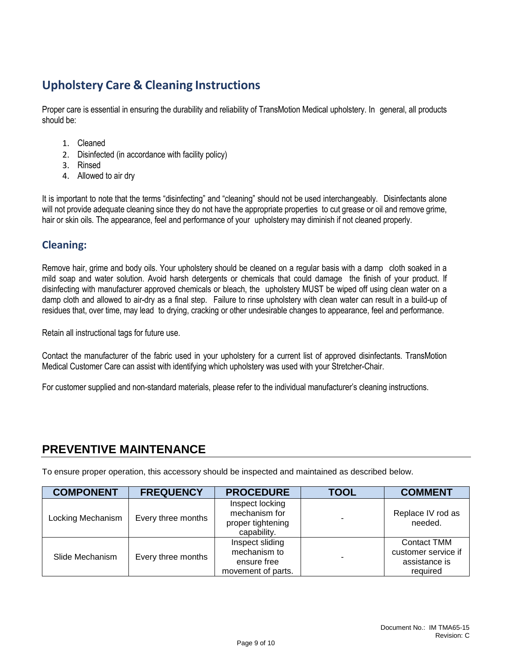### **Upholstery Care & Cleaning Instructions**

Proper care is essential in ensuring the durability and reliability of TransMotion Medical upholstery. In general, all products should be:

- 1. Cleaned
- 2. Disinfected (in accordance with facility policy)
- 3. Rinsed
- 4. Allowed to air dry

It is important to note that the terms "disinfecting" and "cleaning" should not be used interchangeably. Disinfectants alone will not provide adequate cleaning since they do not have the appropriate properties to cut grease or oil and remove grime, hair or skin oils. The appearance, feel and performance of your upholstery may diminish if not cleaned properly.

#### **Cleaning:**

Remove hair, grime and body oils. Your upholstery should be cleaned on a regular basis with a damp cloth soaked in a mild soap and water solution. Avoid harsh detergents or chemicals that could damage the finish of your product. If disinfecting with manufacturer approved chemicals or bleach, the upholstery MUST be wiped off using clean water on a damp cloth and allowed to air-dry as a final step. Failure to rinse upholstery with clean water can result in a build-up of residues that, over time, may lead to drying, cracking or other undesirable changes to appearance, feel and performance.

Retain all instructional tags for future use.

Contact the manufacturer of the fabric used in your upholstery for a current list of approved disinfectants. TransMotion Medical Customer Care can assist with identifying which upholstery was used with your Stretcher-Chair.

For customer supplied and non-standard materials, please refer to the individual manufacturer's cleaning instructions.

#### <span id="page-8-0"></span>**PREVENTIVE MAINTENANCE**

To ensure proper operation, this accessory should be inspected and maintained as described below.

| <b>COMPONENT</b>  | <b>FREQUENCY</b>   | <b>PROCEDURE</b>                                                     | <b>TOOL</b> | <b>COMMENT</b>                                                         |
|-------------------|--------------------|----------------------------------------------------------------------|-------------|------------------------------------------------------------------------|
| Locking Mechanism | Every three months | Inspect locking<br>mechanism for<br>proper tightening<br>capability. |             | Replace IV rod as<br>needed.                                           |
| Slide Mechanism   | Every three months | Inspect sliding<br>mechanism to<br>ensure free<br>movement of parts. |             | <b>Contact TMM</b><br>customer service if<br>assistance is<br>required |